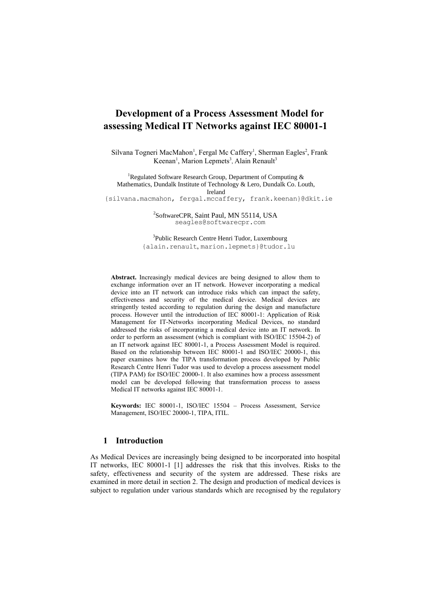# **Development of a Process Assessment Model for assessing Medical IT Networks against IEC 80001-1**

Silvana Togneri MacMahon<sup>1</sup>, Fergal Mc Caffery<sup>1</sup>, Sherman Eagles<sup>2</sup>, Frank Keenan<sup>1</sup>, Marion Lepmets<sup>3</sup>, Alain Renault<sup>3</sup>

<sup>1</sup>Regulated Software Research Group, Department of Computing  $\&$ Mathematics, Dundalk Institute of Technology & Lero, Dundalk Co. Louth, Ireland {silvana.macmahon, fergal.mccaffery, frank.keenan}@dkit.ie

> <sup>2</sup>SoftwareCPR, Saint Paul, MN 55114, USA seagles@softwarecpr.com

3 Public Research Centre Henri Tudor, Luxembourg {alain.renault, marion.lepmets}@tudor.lu

**Abstract.** Increasingly medical devices are being designed to allow them to exchange information over an IT network. However incorporating a medical device into an IT network can introduce risks which can impact the safety, effectiveness and security of the medical device. Medical devices are stringently tested according to regulation during the design and manufacture process. However until the introduction of IEC 80001-1: Application of Risk Management for IT-Networks incorporating Medical Devices, no standard addressed the risks of incorporating a medical device into an IT network. In order to perform an assessment (which is compliant with ISO/IEC 15504-2) of an IT network against IEC 80001-1, a Process Assessment Model is required. Based on the relationship between IEC 80001-1 and ISO/IEC 20000-1, this paper examines how the TIPA transformation process developed by Public Research Centre Henri Tudor was used to develop a process assessment model (TIPA PAM) for ISO/IEC 20000-1. It also examines how a process assessment model can be developed following that transformation process to assess Medical IT networks against IEC 80001-1.

**Keywords:** IEC 80001-1, ISO/IEC 15504 – Process Assessment, Service Management, ISO/IEC 20000-1, TIPA, ITIL.

# **1 Introduction**

As Medical Devices are increasingly being designed to be incorporated into hospital IT networks, IEC 80001-1 [\[1\]](#page-11-0) addresses the risk that this involves. Risks to the safety, effectiveness and security of the system are addressed. These risks are examined in more detail in section 2. The design and production of medical devices is subject to regulation under various standards which are recognised by the regulatory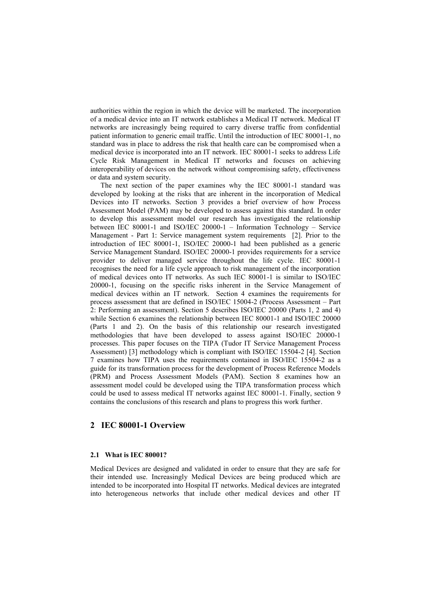authorities within the region in which the device will be marketed. The incorporation of a medical device into an IT network establishes a Medical IT network. Medical IT networks are increasingly being required to carry diverse traffic from confidential patient information to generic email traffic. Until the introduction of IEC 80001-1, no standard was in place to address the risk that health care can be compromised when a medical device is incorporated into an IT network. IEC 80001-1 seeks to address Life Cycle Risk Management in Medical IT networks and focuses on achieving interoperability of devices on the network without compromising safety, effectiveness or data and system security.

The next section of the paper examines why the IEC 80001-1 standard was developed by looking at the risks that are inherent in the incorporation of Medical Devices into IT networks. Section 3 provides a brief overview of how Process Assessment Model (PAM) may be developed to assess against this standard. In order to develop this assessment model our research has investigated the relationship between IEC 80001-1 and ISO/IEC 20000-1 – Information Technology – Service Management - Part 1: Service management system requirements [\[2\]](#page-11-1). Prior to the introduction of IEC 80001-1, ISO/IEC 20000-1 had been published as a generic Service Management Standard. ISO/IEC 20000-1 provides requirements for a service provider to deliver managed service throughout the life cycle. IEC 80001-1 recognises the need for a life cycle approach to risk management of the incorporation of medical devices onto IT networks. As such IEC 80001-1 is similar to ISO/IEC 20000-1, focusing on the specific risks inherent in the Service Management of medical devices within an IT network. Section 4 examines the requirements for process assessment that are defined in ISO/IEC 15004-2 (Process Assessment – Part 2: Performing an assessment). Section 5 describes ISO/IEC 20000 (Parts 1, 2 and 4) while Section 6 examines the relationship between IEC 80001-1 and ISO/IEC 20000 (Parts 1 and 2). On the basis of this relationship our research investigated methodologies that have been developed to assess against ISO/IEC 20000-1 processes. This paper focuses on the TIPA (Tudor IT Service Management Process Assessment) [\[3\]](#page-11-2) methodology which is compliant with ISO/IEC 15504-2 [\[4\]](#page-11-3). Section 7 examines how TIPA uses the requirements contained in ISO/IEC 15504-2 as a guide for its transformation process for the development of Process Reference Models (PRM) and Process Assessment Models (PAM). Section 8 examines how an assessment model could be developed using the TIPA transformation process which could be used to assess medical IT networks against IEC 80001-1. Finally, section 9 contains the conclusions of this research and plans to progress this work further.

### **2 IEC 80001-1 Overview**

### **2.1 What is IEC 80001?**

Medical Devices are designed and validated in order to ensure that they are safe for their intended use. Increasingly Medical Devices are being produced which are intended to be incorporated into Hospital IT networks. Medical devices are integrated into heterogeneous networks that include other medical devices and other IT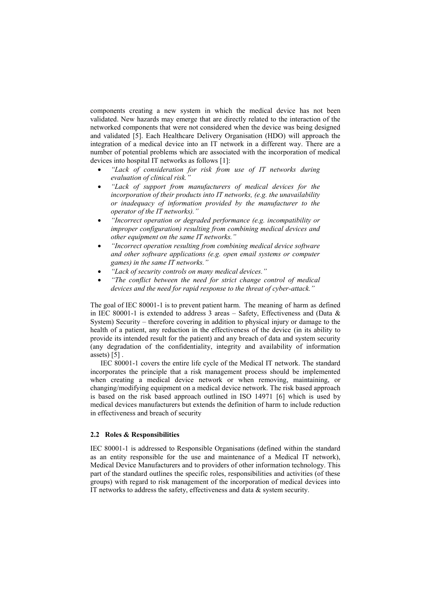components creating a new system in which the medical device has not been validated. New hazards may emerge that are directly related to the interaction of the networked components that were not considered when the device was being designed and validated [\[5\]](#page-11-4). Each Healthcare Delivery Organisation (HDO) will approach the integration of a medical device into an IT network in a different way. There are a number of potential problems which are associated with the incorporation of medical devices into hospital IT networks as follows [\[1\]](#page-11-0):

- *"Lack of consideration for risk from use of IT networks during evaluation of clinical risk."*
- *"Lack of support from manufacturers of medical devices for the incorporation of their products into IT networks, (e.g. the unavailability or inadequacy of information provided by the manufacturer to the operator of the IT networks)."*
- *"Incorrect operation or degraded performance (e.g. incompatibility or improper configuration) resulting from combining medical devices and other equipment on the same IT networks."*
- *"Incorrect operation resulting from combining medical device software and other software applications (e.g. open email systems or computer games) in the same IT networks."*
- *"Lack of security controls on many medical devices."*
- *"The conflict between the need for strict change control of medical devices and the need for rapid response to the threat of cyber-attack."*

The goal of IEC 80001-1 is to prevent patient harm. The meaning of harm as defined in IEC 80001-1 is extended to address 3 areas – Safety, Effectiveness and (Data  $\&$ System) Security – therefore covering in addition to physical injury or damage to the health of a patient, any reduction in the effectiveness of the device (in its ability to provide its intended result for the patient) and any breach of data and system security (any degradation of the confidentiality, integrity and availability of information assets)  $[5]$ .

IEC 80001-1 covers the entire life cycle of the Medical IT network. The standard incorporates the principle that a risk management process should be implemented when creating a medical device network or when removing, maintaining, or changing/modifying equipment on a medical device network. The risk based approach is based on the risk based approach outlined in ISO 14971 [\[6\]](#page-11-5) which is used by medical devices manufacturers but extends the definition of harm to include reduction in effectiveness and breach of security

### **2.2 Roles & Responsibilities**

IEC 80001-1 is addressed to Responsible Organisations (defined within the standard as an entity responsible for the use and maintenance of a Medical IT network), Medical Device Manufacturers and to providers of other information technology. This part of the standard outlines the specific roles, responsibilities and activities (of these groups) with regard to risk management of the incorporation of medical devices into IT networks to address the safety, effectiveness and data & system security.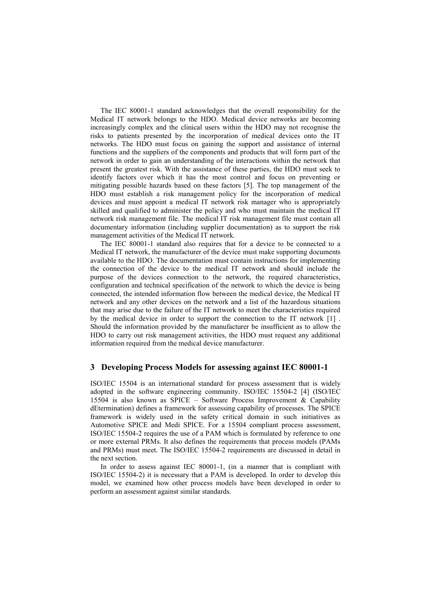The IEC 80001-1 standard acknowledges that the overall responsibility for the Medical IT network belongs to the HDO. Medical device networks are becoming increasingly complex and the clinical users within the HDO may not recognise the risks to patients presented by the incorporation of medical devices onto the IT networks. The HDO must focus on gaining the support and assistance of internal functions and the suppliers of the components and products that will form part of the network in order to gain an understanding of the interactions within the network that present the greatest risk. With the assistance of these parties, the HDO must seek to identify factors over which it has the most control and focus on preventing or mitigating possible hazards based on these factors [\[5\]](#page-11-4). The top management of the HDO must establish a risk management policy for the incorporation of medical devices and must appoint a medical IT network risk manager who is appropriately skilled and qualified to administer the policy and who must maintain the medical IT network risk management file. The medical IT risk management file must contain all documentary information (including supplier documentation) as to support the risk management activities of the Medical IT network.

The IEC 80001-1 standard also requires that for a device to be connected to a Medical IT network, the manufacturer of the device must make supporting documents available to the HDO. The documentation must contain instructions for implementing the connection of the device to the medical IT network and should include the purpose of the devices connection to the network, the required characteristics, configuration and technical specification of the network to which the device is being connected, the intended information flow between the medical device, the Medical IT network and any other devices on the network and a list of the hazardous situations that may arise due to the failure of the IT network to meet the characteristics required by the medical device in order to support the connection to the IT network [\[1\]](#page-11-0) . Should the information provided by the manufacturer be insufficient as to allow the HDO to carry out risk management activities, the HDO must request any additional information required from the medical device manufacturer.

# **3 Developing Process Models for assessing against IEC 80001-1**

ISO/IEC 15504 is an international standard for process assessment that is widely adopted in the software engineering community. ISO/IEC 15504-2 [\[4\]](#page-11-3) (ISO/IEC 15504 is also known as SPICE – Software Process Improvement & Capability dEtermination) defines a framework for assessing capability of processes. The SPICE framework is widely used in the safety critical domain in such initiatives as Automotive SPICE and Medi SPICE. For a 15504 compliant process assessment, ISO/IEC 15504-2 requires the use of a PAM which is formulated by reference to one or more external PRMs. It also defines the requirements that process models (PAMs and PRMs) must meet. The ISO/IEC 15504-2 requirements are discussed in detail in the next section.

In order to assess against IEC 80001-1, (in a manner that is compliant with ISO/IEC 15504-2) it is necessary that a PAM is developed. In order to develop this model, we examined how other process models have been developed in order to perform an assessment against similar standards.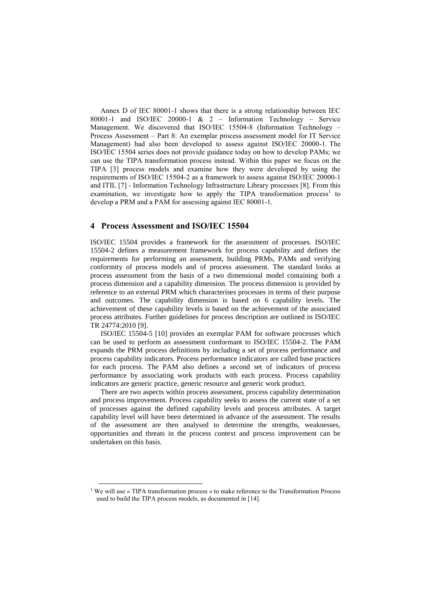Annex D of IEC 80001-1 shows that there is a strong relationship between IEC 80001-1 and ISO/IEC 20000-1 & 2 – Information Technology – Service Management. We discovered that ISO/IEC 15504-8 (Information Technology – Process Assessment – Part 8: An exemplar process assessment model for IT Service Management) had also been developed to assess against ISO/IEC 20000-1. <sup>1</sup>The ISO/IEC 15504 series does not provide guidance today on how to develop PAMs; we can use the TIPA transformation process instead. Within this paper we focus on the TIPA [\[3\]](#page-11-2) process models and examine how they were developed by using the requirements of ISO/IEC 15504-2 as a framework to assess against ISO/IEC 20000-1 and ITIL [\[7\]](#page-11-6) - Information Technology Infrastructure Library processes [\[8\]](#page-11-7). From this examination, we investigate how to apply the TIPA transformation process<sup>1</sup> to develop a PRM and a PAM for assessing against IEC 80001-1.

# **4 Process Assessment and ISO/IEC 15504**

ISO/IEC 15504 provides a framework for the assessment of processes. ISO/IEC 15504-2 defines a measurement framework for process capability and defines the requirements for performing an assessment, building PRMs, PAMs and verifying conformity of process models and of process assessment. The standard looks at process assessment from the basis of a two dimensional model containing both a process dimension and a capability dimension. The process dimension is provided by reference to an external PRM which characterises processes in terms of their purpose and outcomes. The capability dimension is based on 6 capability levels. The achievement of these capability levels is based on the achievement of the associated process attributes. Further guidelines for process description are outlined in ISO/IEC TR 24774:2010 [\[9\]](#page-11-8).

ISO/IEC 15504-5 [\[10\]](#page-11-9) provides an exemplar PAM for software processes which can be used to perform an assessment conformant to ISO/IEC 15504-2. The PAM expands the PRM process definitions by including a set of process performance and process capability indicators. Process performance indicators are called base practices for each process. The PAM also defines a second set of indicators of process performance by associating work products with each process. Process capability indicators are generic practice, generic resource and generic work product.

There are two aspects within process assessment, process capability determination and process improvement. Process capability seeks to assess the current state of a set of processes against the defined capability levels and process attributes. A target capability level will have been determined in advance of the assessment. The results of the assessment are then analysed to determine the strengths, weaknesses, opportunities and threats in the process context and process improvement can be undertaken on this basis.

-

<sup>1</sup> We will use « TIPA transformation process » to make reference to the Transformation Process used to build the TIPA process models, as documented in [14].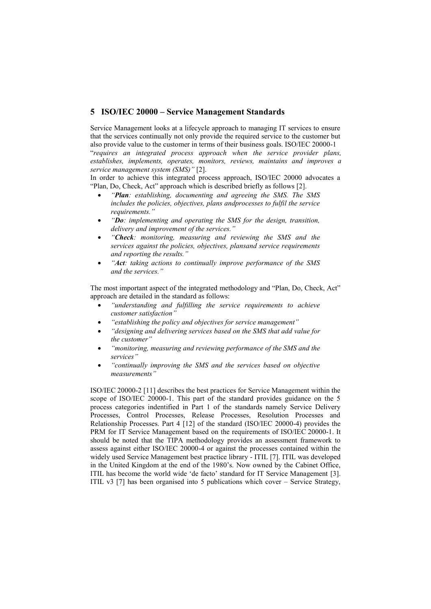### **5 ISO/IEC 20000 – Service Management Standards**

Service Management looks at a lifecycle approach to managing IT services to ensure that the services continually not only provide the required service to the customer but also provide value to the customer in terms of their business goals. ISO/IEC 20000-1 "*requires an integrated process approach when the service provider plans, establishes, implements, operates, monitors, reviews, maintains and improves a service management system (SMS)"* [\[2\]](#page-11-1).

In order to achieve this integrated process approach, ISO/IEC 20000 advocates a "Plan, Do, Check, Act" approach which is described briefly as follows [\[2\]](#page-11-1).

- *"Plan: establishing, documenting and agreeing the SMS. The SMS includes the policies, objectives, plans andprocesses to fulfil the service requirements."*
- *"Do: implementing and operating the SMS for the design, transition, delivery and improvement of the services."*
- *"Check: monitoring, measuring and reviewing the SMS and the services against the policies, objectives, plansand service requirements and reporting the results."*
- *"Act: taking actions to continually improve performance of the SMS and the services."*

The most important aspect of the integrated methodology and "Plan, Do, Check, Act" approach are detailed in the standard as follows:

- *"understanding and fulfilling the service requirements to achieve customer satisfaction"*
- *"establishing the policy and objectives for service management"*
- *"designing and delivering services based on the SMS that add value for the customer"*
- *"monitoring, measuring and reviewing performance of the SMS and the services"*
- *"continually improving the SMS and the services based on objective measurements"*

ISO/IEC 20000-2 [\[11\]](#page-11-10) describes the best practices for Service Management within the scope of ISO/IEC 20000-1. This part of the standard provides guidance on the 5 process categories indentified in Part 1 of the standards namely Service Delivery Processes, Control Processes, Release Processes, Resolution Processes and Relationship Processes. Part 4 [\[12\]](#page-11-11) of the standard (ISO/IEC 20000-4) provides the PRM for IT Service Management based on the requirements of ISO/IEC 20000-1. It should be noted that the TIPA methodology provides an assessment framework to assess against either ISO/IEC 20000-4 or against the processes contained within the widely used Service Management best practice library - ITIL [\[7\]](#page-11-6). ITIL was developed in the United Kingdom at the end of the 1980's. Now owned by the Cabinet Office, ITIL has become the world wide 'de facto' standard for IT Service Management [\[3\]](#page-11-2). ITIL v3 [\[7\]](#page-11-6) has been organised into 5 publications which cover – Service Strategy,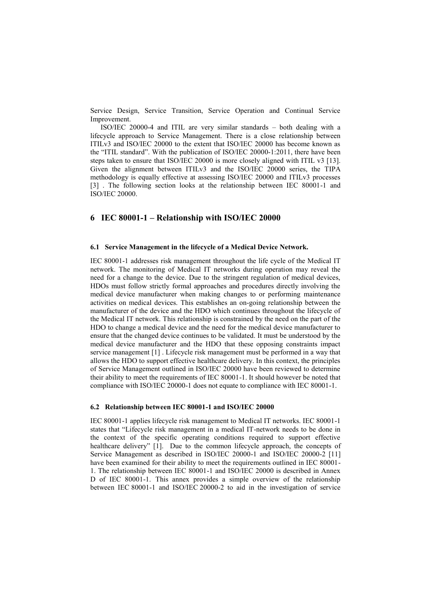Service Design, Service Transition, Service Operation and Continual Service Improvement.

ISO/IEC 20000-4 and ITIL are very similar standards – both dealing with a lifecycle approach to Service Management. There is a close relationship between ITILv3 and ISO/IEC 20000 to the extent that ISO/IEC 20000 has become known as the "ITIL standard". With the publication of ISO/IEC 20000-1:2011, there have been steps taken to ensure that ISO/IEC 20000 is more closely aligned with ITIL v3 [\[13\]](#page-11-12). Given the alignment between ITILv3 and the ISO/IEC 20000 series, the TIPA methodology is equally effective at assessing ISO/IEC 20000 and ITILv3 processes [\[3\]](#page-11-2) . The following section looks at the relationship between IEC 80001-1 and ISO/IEC 20000.

### **6 IEC 80001-1 – Relationship with ISO/IEC 20000**

#### **6.1 Service Management in the lifecycle of a Medical Device Network.**

IEC 80001-1 addresses risk management throughout the life cycle of the Medical IT network. The monitoring of Medical IT networks during operation may reveal the need for a change to the device. Due to the stringent regulation of medical devices, HDOs must follow strictly formal approaches and procedures directly involving the medical device manufacturer when making changes to or performing maintenance activities on medical devices. This establishes an on-going relationship between the manufacturer of the device and the HDO which continues throughout the lifecycle of the Medical IT network. This relationship is constrained by the need on the part of the HDO to change a medical device and the need for the medical device manufacturer to ensure that the changed device continues to be validated. It must be understood by the medical device manufacturer and the HDO that these opposing constraints impact service management [\[1\]](#page-11-0) . Lifecycle risk management must be performed in a way that allows the HDO to support effective healthcare delivery. In this context, the principles of Service Management outlined in ISO/IEC 20000 have been reviewed to determine their ability to meet the requirements of IEC 80001-1. It should however be noted that compliance with ISO/IEC 20000-1 does not equate to compliance with IEC 80001-1.

### **6.2 Relationship between IEC 80001-1 and ISO/IEC 20000**

IEC 80001-1 applies lifecycle risk management to Medical IT networks. IEC 80001-1 states that "Lifecycle risk management in a medical IT-network needs to be done in the context of the specific operating conditions required to support effective healthcare delivery" [\[1\]](#page-11-0). Due to the common lifecycle approach, the concepts of Service Management as described in ISO/IEC 20000-1 and ISO/IEC 20000-2 [\[11\]](#page-11-10) have been examined for their ability to meet the requirements outlined in IEC 80001- 1. The relationship between IEC 80001-1 and ISO/IEC 20000 is described in Annex D of IEC 80001-1. This annex provides a simple overview of the relationship between IEC 80001-1 and ISO/IEC 20000-2 to aid in the investigation of service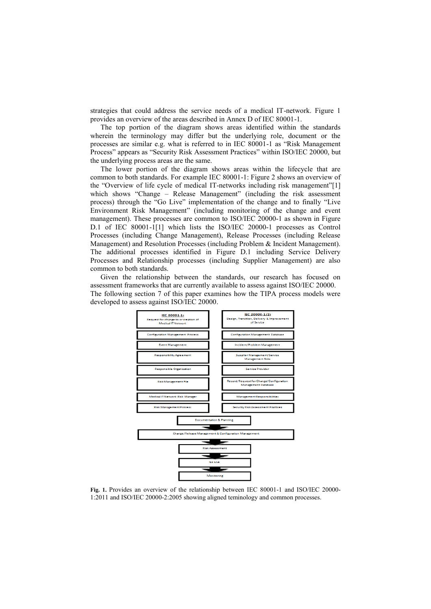strategies that could address the service needs of a medical IT-network. Figure 1 provides an overview of the areas described in Annex D of IEC 80001-1.

The top portion of the diagram shows areas identified within the standards wherein the terminology may differ but the underlying role, document or the processes are similar e.g. what is referred to in IEC 80001-1 as "Risk Management Process" appears as "Security Risk Assessment Practices" within ISO/IEC 20000, but the underlying process areas are the same.

The lower portion of the diagram shows areas within the lifecycle that are common to both standards. For example IEC 80001-1: Figure 2 shows an overview of the "Overview of life cycle of medical IT-networks including risk management"[\[1\]](#page-11-0) which shows "Change – Release Management" (including the risk assessment process) through the "Go Live" implementation of the change and to finally "Live Environment Risk Management" (including monitoring of the change and event management). These processes are common to ISO/IEC 20000-1 as shown in Figure D.1 of IEC 80001-1[\[1\]](#page-11-0) which lists the ISO/IEC 20000-1 processes as Control Processes (including Change Management), Release Processes (including Release Management) and Resolution Processes (including Problem & Incident Management). The additional processes identified in Figure D.1 including Service Delivery Processes and Relationship processes (including Supplier Management) are also common to both standards.

Given the relationship between the standards, our research has focused on assessment frameworks that are currently available to assess against ISO/IEC 20000. The following section 7 of this paper examines how the TIPA process models were developed to assess against ISO/IEC 20000.



**Fig. 1.** Provides an overview of the relationship between IEC 80001-1 and ISO/IEC 20000- 1:2011 and ISO/IEC 20000-2:2005 showing aligned teminology and common processes.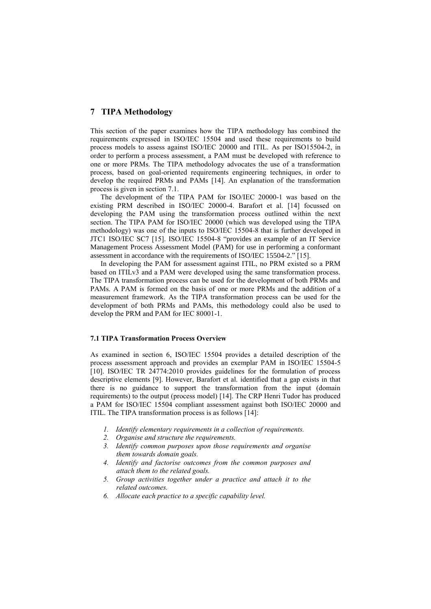# **7 TIPA Methodology**

This section of the paper examines how the TIPA methodology has combined the requirements expressed in ISO/IEC 15504 and used these requirements to build process models to assess against ISO/IEC 20000 and ITIL. As per ISO15504-2, in order to perform a process assessment, a PAM must be developed with reference to one or more PRMs. The TIPA methodology advocates the use of a transformation process, based on goal-oriented requirements engineering techniques, in order to develop the required PRMs and PAMs [\[14\]](#page-11-13). An explanation of the transformation process is given in section 7.1.

The development of the TIPA PAM for ISO/IEC 20000-1 was based on the existing PRM described in ISO/IEC 20000-4. Barafort et al. [\[14\]](#page-11-13) focussed on developing the PAM using the transformation process outlined within the next section. The TIPA PAM for ISO/IEC 20000 (which was developed using the TIPA methodology) was one of the inputs to ISO/IEC 15504-8 that is further developed in JTC1 ISO/IEC SC7 [\[15\]](#page-11-14). ISO/IEC 15504-8 "provides an example of an IT Service Management Process Assessment Model (PAM) for use in performing a conformant assessment in accordance with the requirements of ISO/IEC 15504-2." [\[15\]](#page-11-14).

In developing the PAM for assessment against ITIL, no PRM existed so a PRM based on ITILv3 and a PAM were developed using the same transformation process. The TIPA transformation process can be used for the development of both PRMs and PAMs. A PAM is formed on the basis of one or more PRMs and the addition of a measurement framework. As the TIPA transformation process can be used for the development of both PRMs and PAMs, this methodology could also be used to develop the PRM and PAM for IEC 80001-1.

#### **7.1 TIPA Transformation Process Overview**

As examined in section 6, ISO/IEC 15504 provides a detailed description of the process assessment approach and provides an exemplar PAM in ISO/IEC 15504-5 [\[10\]](#page-11-9). ISO/IEC TR 24774:2010 provides guidelines for the formulation of process descriptive elements [\[9\]](#page-11-8). However, Barafort et al. identified that a gap exists in that there is no guidance to support the transformation from the input (domain requirements) to the output (process model) [\[14\]](#page-11-13). The CRP Henri Tudor has produced a PAM for ISO/IEC 15504 compliant assessment against both ISO/IEC 20000 and ITIL. The TIPA transformation process is as follows [\[14\]](#page-11-13):

- *1. Identify elementary requirements in a collection of requirements.*
- *2. Organise and structure the requirements.*
- *3. Identify common purposes upon those requirements and organise them towards domain goals.*
- *4. Identify and factorise outcomes from the common purposes and attach them to the related goals.*
- *5. Group activities together under a practice and attach it to the related outcomes.*
- *6. Allocate each practice to a specific capability level.*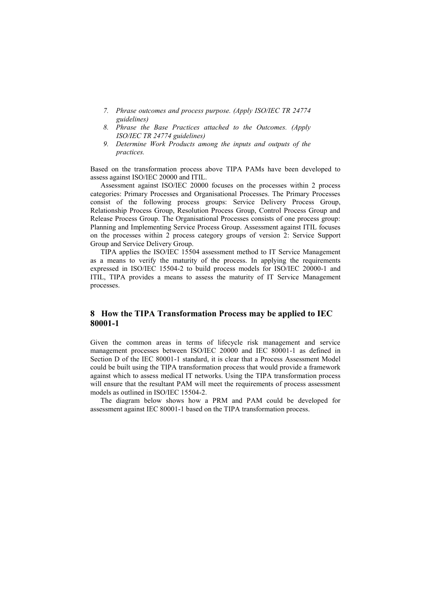- *7. Phrase outcomes and process purpose. (Apply ISO/IEC TR 24774 guidelines)*
- *8. Phrase the Base Practices attached to the Outcomes. (Apply ISO/IEC TR 24774 guidelines)*
- *9. Determine Work Products among the inputs and outputs of the practices.*

Based on the transformation process above TIPA PAMs have been developed to assess against ISO/IEC 20000 and ITIL.

Assessment against ISO/IEC 20000 focuses on the processes within 2 process categories: Primary Processes and Organisational Processes. The Primary Processes consist of the following process groups: Service Delivery Process Group, Relationship Process Group, Resolution Process Group, Control Process Group and Release Process Group. The Organisational Processes consists of one process group: Planning and Implementing Service Process Group. Assessment against ITIL focuses on the processes within 2 process category groups of version 2: Service Support Group and Service Delivery Group.

TIPA applies the ISO/IEC 15504 assessment method to IT Service Management as a means to verify the maturity of the process. In applying the requirements expressed in ISO/IEC 15504-2 to build process models for ISO/IEC 20000-1 and ITIL, TIPA provides a means to assess the maturity of IT Service Management processes.

# **8 How the TIPA Transformation Process may be applied to IEC 80001-1**

Given the common areas in terms of lifecycle risk management and service management processes between ISO/IEC 20000 and IEC 80001-1 as defined in Section D of the IEC 80001-1 standard, it is clear that a Process Assessment Model could be built using the TIPA transformation process that would provide a framework against which to assess medical IT networks. Using the TIPA transformation process will ensure that the resultant PAM will meet the requirements of process assessment models as outlined in ISO/IEC 15504-2.

The diagram below shows how a PRM and PAM could be developed for assessment against IEC 80001-1 based on the TIPA transformation process.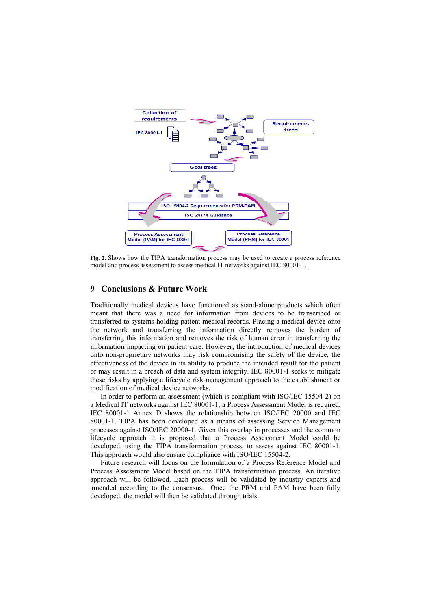

**Fig. 2.** Shows how the TIPA transformation process may be used to create a process reference model and process assessment to assess medical IT networks against IEC 80001-1.

# **9 Conclusions & Future Work**

Traditionally medical devices have functioned as stand-alone products which often meant that there was a need for information from devices to be transcribed or transferred to systems holding patient medical records. Placing a medical device onto the network and transferring the information directly removes the burden of transferring this information and removes the risk of human error in transferring the information impacting on patient care. However, the introduction of medical devices onto non-proprietary networks may risk compromising the safety of the device, the effectiveness of the device in its ability to produce the intended result for the patient or may result in a breach of data and system integrity. IEC 80001-1 seeks to mitigate these risks by applying a lifecycle risk management approach to the establishment or modification of medical device networks.

In order to perform an assessment (which is compliant with ISO/IEC 15504-2) on a Medical IT networks against IEC 80001-1, a Process Assessment Model is required. IEC 80001-1 Annex D shows the relationship between ISO/IEC 20000 and IEC 80001-1. TIPA has been developed as a means of assessing Service Management processes against ISO/IEC 20000-1. Given this overlap in processes and the common lifecycle approach it is proposed that a Process Assessment Model could be developed, using the TIPA transformation process, to assess against IEC 80001-1. This approach would also ensure compliance with ISO/IEC 15504-2.

Future research will focus on the formulation of a Process Reference Model and Process Assessment Model based on the TIPA transformation process. An iterative approach will be followed. Each process will be validated by industry experts and amended according to the consensus. Once the PRM and PAM have been fully developed, the model will then be validated through trials.